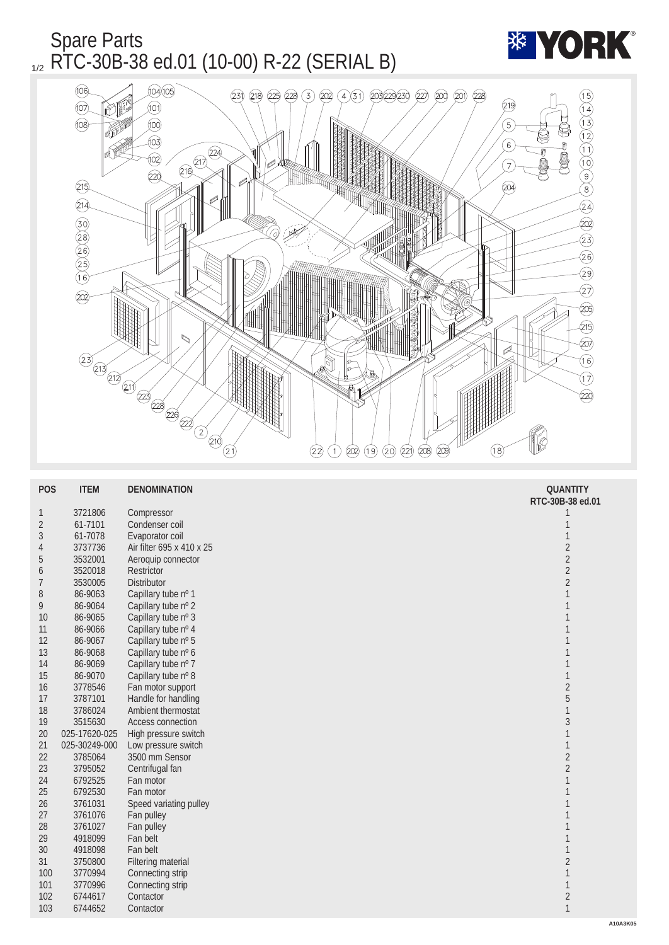## Spare Parts  $_{1/2}$  RTC-30B-38 ed.01 (10-00) R-22 (SERIAL B)



| <b>POS</b>       | <b>ITEM</b>   | <b>DENOMINATION</b>       | <b>QUANTITY</b>  |
|------------------|---------------|---------------------------|------------------|
|                  |               |                           | RTC-30B-38 ed.01 |
| $\mathbf{1}$     | 3721806       | Compressor                | 1                |
| $\boldsymbol{2}$ | 61-7101       | Condenser coil            | 1                |
| $\sqrt{3}$       | 61-7078       | Evaporator coil           | $\mathbf{1}$     |
| $\overline{4}$   | 3737736       | Air filter 695 x 410 x 25 | $\boldsymbol{2}$ |
| $\bf 5$          | 3532001       | Aeroquip connector        | $\sqrt{2}$       |
| $\boldsymbol{6}$ | 3520018       | Restrictor                | $\sqrt{2}$       |
| $\overline{7}$   | 3530005       | <b>Distributor</b>        | $\overline{c}$   |
| 8                | 86-9063       | Capillary tube nº 1       | $\mathbf{1}$     |
| 9                | 86-9064       | Capillary tube nº 2       | $\mathbf{1}$     |
| 10               | 86-9065       | Capillary tube nº 3       | $\mathbf{1}$     |
| 11               | 86-9066       | Capillary tube nº 4       | $\mathbf{1}$     |
| 12               | 86-9067       | Capillary tube nº 5       | 1                |
| 13               | 86-9068       | Capillary tube nº 6       | 1                |
| 14               | 86-9069       | Capillary tube nº 7       | 1                |
| 15               | 86-9070       | Capillary tube nº 8       | $\mathbf{1}$     |
| 16               | 3778546       | Fan motor support         | $\sqrt{2}$       |
| 17               | 3787101       | Handle for handling       | $\overline{5}$   |
| 18               | 3786024       | Ambient thermostat        | $\mathbf{1}$     |
| 19               | 3515630       | <b>Access connection</b>  | $\overline{3}$   |
| 20               | 025-17620-025 | High pressure switch      | $\mathbf{1}$     |
| 21               | 025-30249-000 | Low pressure switch       | $\mathbf{1}$     |
| 22               | 3785064       | 3500 mm Sensor            | $\boldsymbol{2}$ |
| 23               | 3795052       | Centrifugal fan           | $\boldsymbol{2}$ |
| 24               | 6792525       | Fan motor                 | 1                |
| 25               | 6792530       | Fan motor                 | 1                |
| 26               | 3761031       | Speed variating pulley    | 1                |
| 27               | 3761076       | Fan pulley                | 1                |
| 28               | 3761027       | Fan pulley                | 1                |
| 29               | 4918099       | Fan belt                  | 1                |
| 30               | 4918098       | Fan belt                  | 1                |
| 31               | 3750800       | <b>Filtering material</b> | $\boldsymbol{2}$ |
| 100              | 3770994       | Connecting strip          | $\mathbf{1}$     |
| 101              | 3770996       | Connecting strip          | $\mathbf{1}$     |
| 102              | 6744617       | Contactor                 | $\boldsymbol{2}$ |
| 103              | 6744652       | Contactor                 | $\mathbf{1}$     |
|                  |               |                           |                  |

**\*\* YORK**